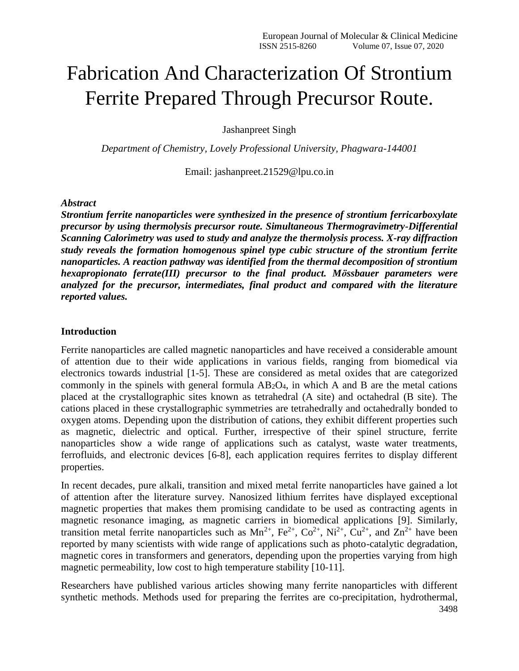# Fabrication And Characterization Of Strontium Ferrite Prepared Through Precursor Route.

Jashanpreet Singh

*Department of Chemistry, Lovely Professional University, Phagwara-144001*

Email: jashanpreet.21529@lpu.co.in

#### *Abstract*

*Strontium ferrite nanoparticles were synthesized in the presence of strontium ferricarboxylate precursor by using thermolysis precursor route. Simultaneous Thermogravimetry-Differential Scanning Calorimetry was used to study and analyze the thermolysis process. X-ray diffraction study reveals the formation homogenous spinel type cubic structure of the strontium ferrite nanoparticles. A reaction pathway was identified from the thermal decomposition of strontium hexapropionato ferrate(III) precursor to the final product. Mӧssbauer parameters were analyzed for the precursor, intermediates, final product and compared with the literature reported values.*

#### **Introduction**

Ferrite nanoparticles are called magnetic nanoparticles and have received a considerable amount of attention due to their wide applications in various fields, ranging from biomedical via electronics towards industrial [1-5]. These are considered as metal oxides that are categorized commonly in the spinels with general formula  $AB_2O_4$ , in which A and B are the metal cations placed at the crystallographic sites known as tetrahedral (A site) and octahedral (B site). The cations placed in these crystallographic symmetries are tetrahedrally and octahedrally bonded to oxygen atoms. Depending upon the distribution of cations, they exhibit different properties such as magnetic, dielectric and optical. Further, irrespective of their spinel structure, ferrite nanoparticles show a wide range of applications such as catalyst, waste water treatments, ferrofluids, and electronic devices [6-8], each application requires ferrites to display different properties.

In recent decades, pure alkali, transition and mixed metal ferrite nanoparticles have gained a lot of attention after the literature survey. Nanosized lithium ferrites have displayed exceptional magnetic properties that makes them promising candidate to be used as contracting agents in magnetic resonance imaging, as magnetic carriers in biomedical applications [9]. Similarly, transition metal ferrite nanoparticles such as  $Mn^{2+}$ ,  $Fe^{2+}$ ,  $Co^{2+}$ ,  $Ni^{2+}$ ,  $Cu^{2+}$ , and  $Zn^{2+}$  have been reported by many scientists with wide range of applications such as photo-catalytic degradation, magnetic cores in transformers and generators, depending upon the properties varying from high magnetic permeability, low cost to high temperature stability [10-11].

Researchers have published various articles showing many ferrite nanoparticles with different synthetic methods. Methods used for preparing the ferrites are co-precipitation, hydrothermal,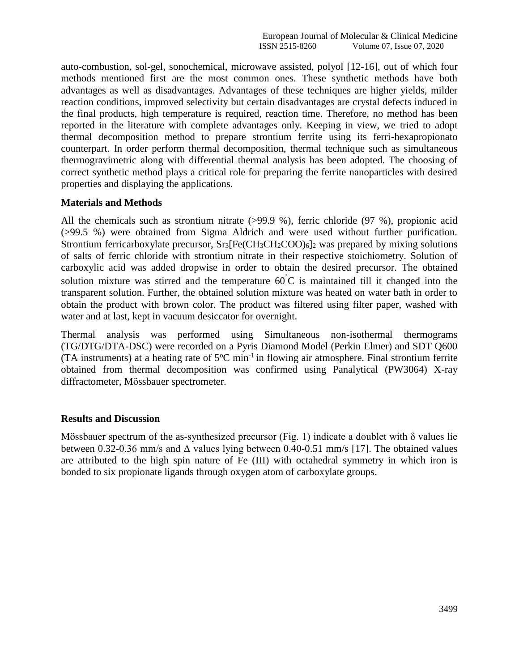auto-combustion, sol-gel, sonochemical, microwave assisted, polyol [12-16], out of which four methods mentioned first are the most common ones. These synthetic methods have both advantages as well as disadvantages. Advantages of these techniques are higher yields, milder reaction conditions, improved selectivity but certain disadvantages are crystal defects induced in the final products, high temperature is required, reaction time. Therefore, no method has been reported in the literature with complete advantages only. Keeping in view, we tried to adopt thermal decomposition method to prepare strontium ferrite using its ferri-hexapropionato counterpart. In order perform thermal decomposition, thermal technique such as simultaneous thermogravimetric along with differential thermal analysis has been adopted. The choosing of correct synthetic method plays a critical role for preparing the ferrite nanoparticles with desired properties and displaying the applications.

#### **Materials and Methods**

All the chemicals such as strontium nitrate (>99.9 %), ferric chloride (97 %), propionic acid (>99.5 %) were obtained from Sigma Aldrich and were used without further purification. Strontium ferricarboxylate precursor,  $Sr_3[Fe(CH_3CH_2COO)_6]_2$  was prepared by mixing solutions of salts of ferric chloride with strontium nitrate in their respective stoichiometry. Solution of carboxylic acid was added dropwise in order to obtain the desired precursor. The obtained solution mixture was stirred and the temperature  $60^{\circ}$ C is maintained till it changed into the transparent solution. Further, the obtained solution mixture was heated on water bath in order to obtain the product with brown color. The product was filtered using filter paper, washed with water and at last, kept in vacuum desiccator for overnight.

Thermal analysis was performed using Simultaneous non-isothermal thermograms (TG/DTG/DTA-DSC) were recorded on a Pyris Diamond Model (Perkin Elmer) and SDT Q600 (TA instruments) at a heating rate of  $5^{\circ}$ C min<sup>-1</sup> in flowing air atmosphere. Final strontium ferrite obtained from thermal decomposition was confirmed using Panalytical (PW3064) X-ray diffractometer, Mӧssbauer spectrometer.

#### **Results and Discussion**

Mössbauer spectrum of the as-synthesized precursor (Fig. 1) indicate a doublet with  $\delta$  values lie between 0.32-0.36 mm/s and  $\Delta$  values lying between 0.40-0.51 mm/s [17]. The obtained values are attributed to the high spin nature of Fe (III) with octahedral symmetry in which iron is bonded to six propionate ligands through oxygen atom of carboxylate groups.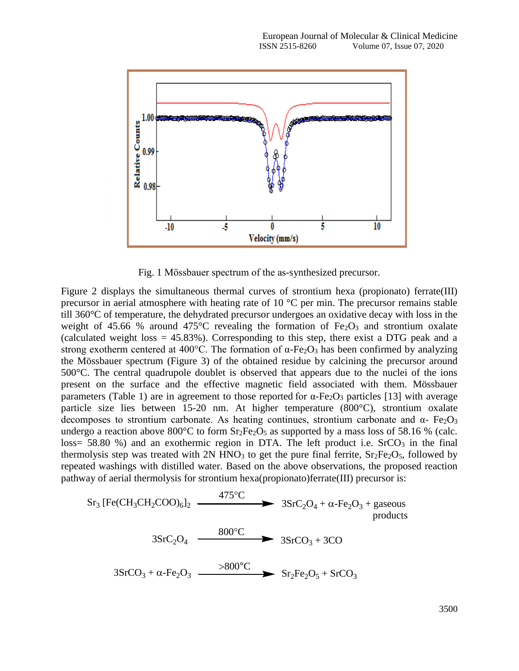

Fig. 1 Mӧssbauer spectrum of the as-synthesized precursor.

Figure 2 displays the simultaneous thermal curves of strontium hexa (propionato) ferrate(III) precursor in aerial atmosphere with heating rate of 10 °C per min. The precursor remains stable till 360°C of temperature, the dehydrated precursor undergoes an oxidative decay with loss in the weight of 45.66 % around 475 $\degree$ C revealing the formation of Fe<sub>2</sub>O<sub>3</sub> and strontium oxalate (calculated weight loss  $= 45.83\%$ ). Corresponding to this step, there exist a DTG peak and a strong exotherm centered at 400°C. The formation of  $\alpha$ -Fe<sub>2</sub>O<sub>3</sub> has been confirmed by analyzing the Mössbauer spectrum (Figure 3) of the obtained residue by calcining the precursor around 500°C. The central quadrupole doublet is observed that appears due to the nuclei of the ions present on the surface and the effective magnetic field associated with them. Mössbauer parameters (Table 1) are in agreement to those reported for  $\alpha$ -Fe<sub>2</sub>O<sub>3</sub> particles [13] with average particle size lies between 15-20 nm. At higher temperature (800°C), strontium oxalate decomposes to strontium carbonate. As heating continues, strontium carbonate and  $\alpha$ - Fe<sub>2</sub>O<sub>3</sub> undergo a reaction above  $800^{\circ}$ C to form Sr<sub>2</sub>Fe<sub>2</sub>O<sub>5</sub> as supported by a mass loss of 58.16 % (calc. loss= 58.80 %) and an exothermic region in DTA. The left product i.e.  $SrCO<sub>3</sub>$  in the final thermolysis step was treated with  $2N HNO<sub>3</sub>$  to get the pure final ferrite,  $Sr<sub>2</sub>Fe<sub>2</sub>O<sub>5</sub>$ , followed by repeated washings with distilled water. Based on the above observations, the proposed reaction pathway of aerial thermolysis for strontium hexa(propionato)ferrate(III) precursor is:

$$
Sr3 [Fe(CH3CH2COO)6] 2 \n475°C\n3SrC2O4 + α-Fe2O3 + gaseous products\n3SrC2O4 \n3SrCO3 + α-Fe2O3 \n800°C\n3SrCO3 + α-Fe2O3 \n800°C\n3SrCO3 + 3CO
$$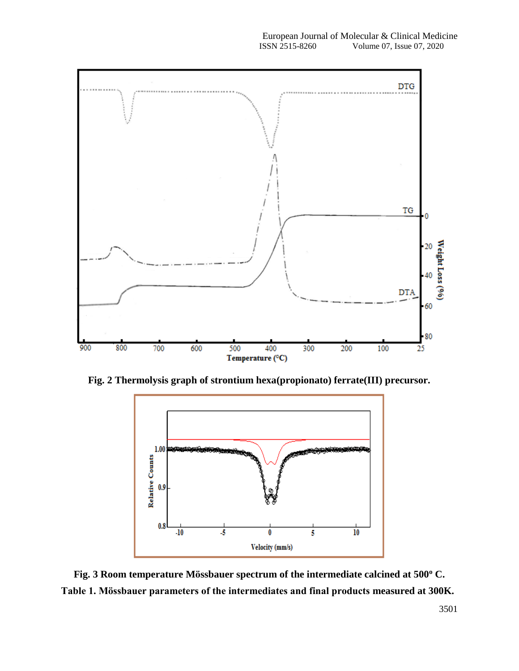

**Fig. 2 Thermolysis graph of strontium hexa(propionato) ferrate(III) precursor.**



**Fig. 3 Room temperature Mӧssbauer spectrum of the intermediate calcined at 500<sup>o</sup> C. Table 1. Mӧssbauer parameters of the intermediates and final products measured at 300K.**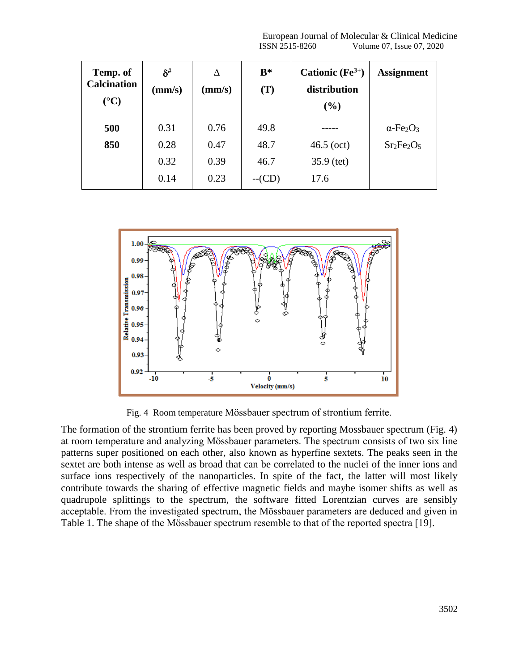European Journal of Molecular & Clinical Medicine<br>ISSN 2515-8260 Volume 07, Issue 07, 2020 Volume 07, Issue 07, 2020

| Temp. of<br><b>Calcination</b><br>$({}^{\circ}C)$ | $\delta^{\#}$<br>(mm/s) | Л<br>(mm/s) | $B^*$<br>(T) | Cationic $(Fe^{3+})$<br>distribution<br>(%) | <b>Assignment</b>                        |
|---------------------------------------------------|-------------------------|-------------|--------------|---------------------------------------------|------------------------------------------|
| 500                                               | 0.31                    | 0.76        | 49.8         |                                             | $\alpha$ -Fe <sub>2</sub> O <sub>3</sub> |
| 850                                               | 0.28                    | 0.47        | 48.7         | $46.5$ (oct)                                | $Sr2Fe2O5$                               |
|                                                   | 0.32                    | 0.39        | 46.7         | $35.9$ (tet)                                |                                          |
|                                                   | 0.14                    | 0.23        | $-C(D)$      | 17.6                                        |                                          |



Fig. 4 Room temperature Mӧssbauer spectrum of strontium ferrite.

The formation of the strontium ferrite has been proved by reporting Mossbauer spectrum (Fig. 4) at room temperature and analyzing Mӧssbauer parameters. The spectrum consists of two six line patterns super positioned on each other, also known as hyperfine sextets. The peaks seen in the sextet are both intense as well as broad that can be correlated to the nuclei of the inner ions and surface ions respectively of the nanoparticles. In spite of the fact, the latter will most likely contribute towards the sharing of effective magnetic fields and maybe isomer shifts as well as quadrupole splittings to the spectrum, the software fitted Lorentzian curves are sensibly acceptable. From the investigated spectrum, the Mӧssbauer parameters are deduced and given in Table 1. The shape of the Mössbauer spectrum resemble to that of the reported spectra [19].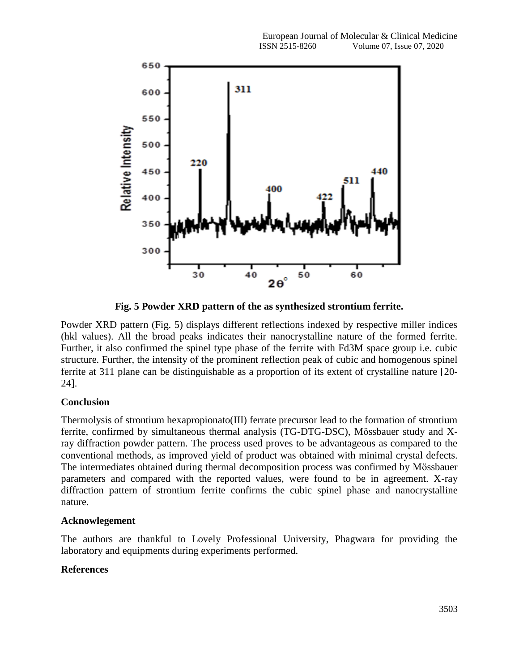

**Fig. 5 Powder XRD pattern of the as synthesized strontium ferrite.**

Powder XRD pattern (Fig. 5) displays different reflections indexed by respective miller indices (hkl values). All the broad peaks indicates their nanocrystalline nature of the formed ferrite. Further, it also confirmed the spinel type phase of the ferrite with Fd3M space group i.e. cubic structure. Further, the intensity of the prominent reflection peak of cubic and homogenous spinel ferrite at 311 plane can be distinguishable as a proportion of its extent of crystalline nature [20- 24].

## **Conclusion**

Thermolysis of strontium hexapropionato(III) ferrate precursor lead to the formation of strontium ferrite, confirmed by simultaneous thermal analysis (TG-DTG-DSC), Mӧssbauer study and Xray diffraction powder pattern. The process used proves to be advantageous as compared to the conventional methods, as improved yield of product was obtained with minimal crystal defects. The intermediates obtained during thermal decomposition process was confirmed by Mӧssbauer parameters and compared with the reported values, were found to be in agreement. X-ray diffraction pattern of strontium ferrite confirms the cubic spinel phase and nanocrystalline nature.

### **Acknowlegement**

The authors are thankful to Lovely Professional University, Phagwara for providing the laboratory and equipments during experiments performed.

## **References**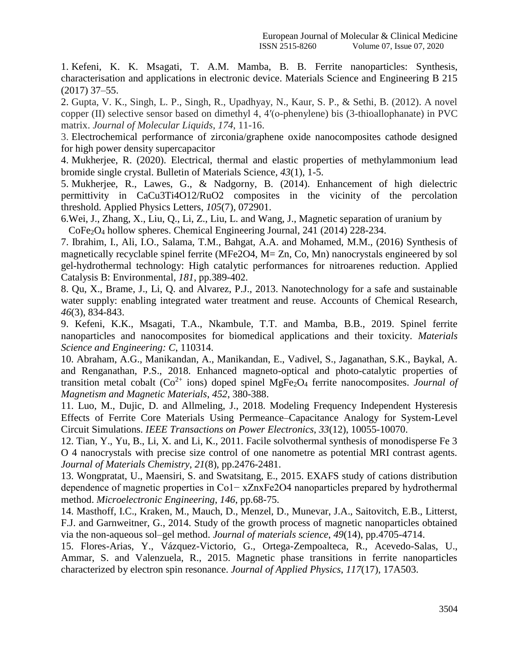1. Kefeni, K. K. Msagati, T. A.M. Mamba, B. B. Ferrite nanoparticles: Synthesis, characterisation and applications in electronic device. Materials Science and Engineering B 215 (2017) 37–55.

2. Gupta, V. K., Singh, L. P., Singh, R., Upadhyay, N., Kaur, S. P., & Sethi, B. (2012). A novel copper (II) selective sensor based on dimethyl 4, 4′(o-phenylene) bis (3-thioallophanate) in PVC matrix. *Journal of Molecular Liquids*, *174*, 11-16.

3. Electrochemical performance of zirconia/graphene oxide nanocomposites cathode designed for high power density supercapacitor

4. Mukherjee, R. (2020). Electrical, thermal and elastic properties of methylammonium lead bromide single crystal. Bulletin of Materials Science, *43*(1), 1-5.

5. Mukherjee, R., Lawes, G., & Nadgorny, B. (2014). Enhancement of high dielectric permittivity in CaCu3Ti4O12/RuO2 composites in the vicinity of the percolation threshold. Applied Physics Letters, *105*(7), 072901.

6.Wei, J., Zhang, X., Liu, Q., Li, Z., Liu, L. and Wang, J., Magnetic separation of uranium by CoFe2O<sup>4</sup> hollow spheres. Chemical Engineering Journal, 241 (2014) 228-234.

7. Ibrahim, I., Ali, I.O., Salama, T.M., Bahgat, A.A. and Mohamed, M.M., (2016) Synthesis of magnetically recyclable spinel ferrite (MFe2O4, M= Zn, Co, Mn) nanocrystals engineered by sol gel-hydrothermal technology: High catalytic performances for nitroarenes reduction. Applied Catalysis B: Environmental, *181*, pp.389-402.

8. Qu, X., Brame, J., Li, Q. and Alvarez, P.J., 2013. Nanotechnology for a safe and sustainable water supply: enabling integrated water treatment and reuse. Accounts of Chemical Research, *46*(3), 834-843.

9. Kefeni, K.K., Msagati, T.A., Nkambule, T.T. and Mamba, B.B., 2019. Spinel ferrite nanoparticles and nanocomposites for biomedical applications and their toxicity. *Materials Science and Engineering: C*, 110314.

10. Abraham, A.G., Manikandan, A., Manikandan, E., Vadivel, S., Jaganathan, S.K., Baykal, A. and Renganathan, P.S., 2018. Enhanced magneto-optical and photo-catalytic properties of transition metal cobalt  $(Co^{2+}$  ions) doped spinel MgFe<sub>2</sub>O<sub>4</sub> ferrite nanocomposites. *Journal of Magnetism and Magnetic Materials*, *452*, 380-388.

11. Luo, M., Dujic, D. and Allmeling, J., 2018. Modeling Frequency Independent Hysteresis Effects of Ferrite Core Materials Using Permeance–Capacitance Analogy for System-Level Circuit Simulations. *IEEE Transactions on Power Electronics*, *33*(12), 10055-10070.

12. Tian, Y., Yu, B., Li, X. and Li, K., 2011. Facile solvothermal synthesis of monodisperse Fe 3 O 4 nanocrystals with precise size control of one nanometre as potential MRI contrast agents. *Journal of Materials Chemistry*, *21*(8), pp.2476-2481.

13. Wongpratat, U., Maensiri, S. and Swatsitang, E., 2015. EXAFS study of cations distribution dependence of magnetic properties in Co1− xZnxFe2O4 nanoparticles prepared by hydrothermal method. *Microelectronic Engineering*, *146*, pp.68-75.

14. Masthoff, I.C., Kraken, M., Mauch, D., Menzel, D., Munevar, J.A., Saitovitch, E.B., Litterst, F.J. and Garnweitner, G., 2014. Study of the growth process of magnetic nanoparticles obtained via the non-aqueous sol–gel method. *Journal of materials science*, *49*(14), pp.4705-4714.

15. Flores-Arias, Y., Vázquez-Victorio, G., Ortega-Zempoalteca, R., Acevedo-Salas, U., Ammar, S. and Valenzuela, R., 2015. Magnetic phase transitions in ferrite nanoparticles characterized by electron spin resonance. *Journal of Applied Physics*, *117*(17), 17A503.